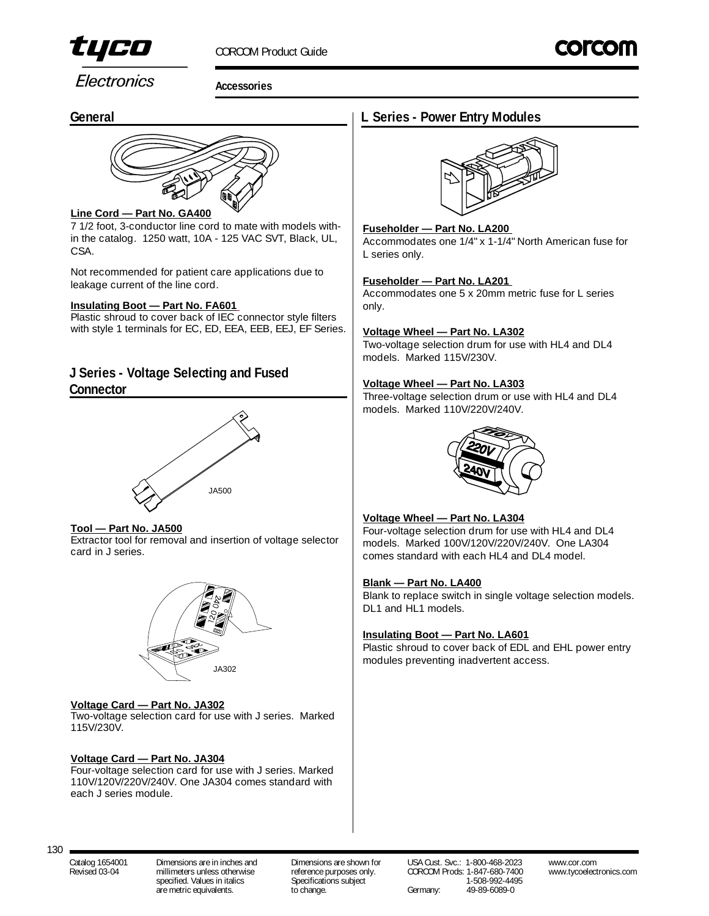

Electronics

**Accessories**

## **General**



### **Line Cord — Part No. GA400**

7 1/2 foot, 3-conductor line cord to mate with models within the catalog. 1250 watt, 10A - 125 VAC SVT, Black, UL, CSA.

Not recommended for patient care applications due to leakage current of the line cord.

## **Insulating Boot — Part No. FA601**

Plastic shroud to cover back of IEC connector style filters with style 1 terminals for EC, ED, EEA, EEB, EEJ, EF Series.

## **J Series - Voltage Selecting and Fused Connector**



#### **Tool — Part No. JA500**

Extractor tool for removal and insertion of voltage selector card in J series.



#### **Voltage Card — Part No. JA302**

Two-voltage selection card for use with J series. Marked 115V/230V.

#### **Voltage Card — Part No. JA304**

Four-voltage selection card for use with J series. Marked 110V/120V/220V/240V. One JA304 comes standard with each J series module.

## **L Series - Power Entry Modules**



#### **Fuseholder — Part No. LA200**

Accommodates one 1/4" x 1-1/4" North American fuse for L series only.

#### **Fuseholder — Part No. LA201**

Accommodates one 5 x 20mm metric fuse for L series only.

#### **Voltage Wheel — Part No. LA302**

Two-voltage selection drum for use with HL4 and DL4 models. Marked 115V/230V.

#### **Voltage Wheel — Part No. LA303**

Three-voltage selection drum or use with HL4 and DL4 models. Marked 110V/220V/240V.



#### **Voltage Wheel — Part No. LA304**

Four-voltage selection drum for use with HL4 and DL4 models. Marked 100V/120V/220V/240V. One LA304 comes standard with each HL4 and DL4 model.

#### **Blank — Part No. LA400**

Blank to replace switch in single voltage selection models. DL1 and HL1 models.

#### **Insulating Boot — Part No. LA601**

Plastic shroud to cover back of EDL and EHL power entry modules preventing inadvertent access.

are metric equivalents.

Catalog 1654001 Dimensions are in inches and Dimensions are shown for USA Cust. Svc.: 1-800-468-2023 www.cor.com Revised 03-04 millimeters unless otherwise reference purposes only. CORCOM Prods: 1-847-680-7400 www.tycoelectronics.com<br>specified Values in italics subject specifications subject of the 1-508-992-4495 specified. Values in italics Specifications subject 1-508-992-449<br>are metric equivalents. The change. Company: 19-89-6089-0